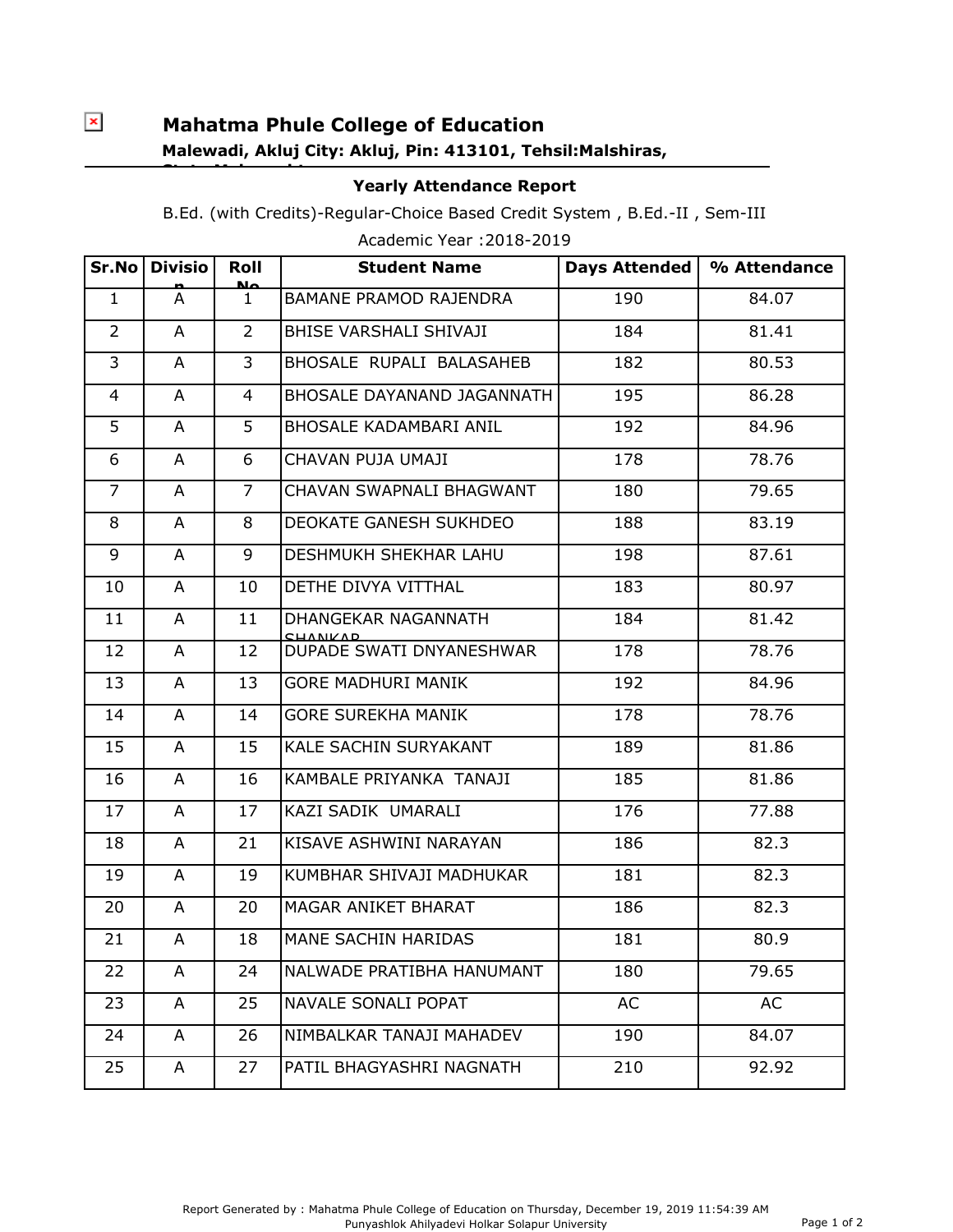## $\pmb{\times}$

**State:Maharashtra**

## **Mahatma Phule College of Education Malewadi, Akluj City: Akluj, Pin: 413101, Tehsil:Malshiras,**

## **Yearly Attendance Report**

B.Ed. (with Credits)-Regular-Choice Based Credit System , B.Ed.-II , Sem-III

| Sr.No          | <b>Divisio</b> | Roll<br>صلحا   | <b>Student Name</b>                    | <b>Days Attended</b> | % Attendance |
|----------------|----------------|----------------|----------------------------------------|----------------------|--------------|
| $\mathbf{1}$   | A              | 1              | <b>BAMANE PRAMOD RAJENDRA</b>          | 190                  | 84.07        |
| $\overline{2}$ | A              | $\overline{2}$ | BHISE VARSHALI SHIVAJI                 | 184                  | 81.41        |
| $\overline{3}$ | A              | $\overline{3}$ | BHOSALE RUPALI BALASAHEB               | 182                  | 80.53        |
| 4              | A              | 4              | BHOSALE DAYANAND JAGANNATH             | 195                  | 86.28        |
| 5              | A              | 5              | <b>BHOSALE KADAMBARI ANIL</b>          | 192                  | 84.96        |
| 6              | A              | 6              | CHAVAN PUJA UMAJI                      | 178                  | 78.76        |
| $\overline{7}$ | A              | $\overline{7}$ | CHAVAN SWAPNALI BHAGWANT               | 180                  | 79.65        |
| 8              | A              | 8              | <b>DEOKATE GANESH SUKHDEO</b>          | 188                  | 83.19        |
| 9              | A              | 9              | DESHMUKH SHEKHAR LAHU                  | 198                  | 87.61        |
| 10             | A              | 10             | DETHE DIVYA VITTHAL                    | 183                  | 80.97        |
| 11             | A              | 11             | DHANGEKAR NAGANNATH<br><b>CHANIVAD</b> | 184                  | 81.42        |
| 12             | A              | 12             | DUPADE SWATI DNYANESHWAR               | 178                  | 78.76        |
| 13             | A              | 13             | <b>GORE MADHURI MANIK</b>              | 192                  | 84.96        |
| 14             | A              | 14             | <b>GORE SUREKHA MANIK</b>              | 178                  | 78.76        |
| 15             | A              | 15             | KALE SACHIN SURYAKANT                  | 189                  | 81.86        |
| 16             | A              | 16             | KAMBALE PRIYANKA TANAJI                | 185                  | 81.86        |
| 17             | A              | 17             | KAZI SADIK UMARALI                     | 176                  | 77.88        |
| 18             | A              | 21             | KISAVE ASHWINI NARAYAN                 | 186                  | 82.3         |
| 19             | A              | 19             | KUMBHAR SHIVAJI MADHUKAR               | 181                  | 82.3         |
| 20             | A              | 20             | MAGAR ANIKET BHARAT                    | 186                  | 82.3         |
| 21             | A              | 18             | MANE SACHIN HARIDAS                    | 181                  | 80.9         |
| 22             | A              | 24             | NALWADE PRATIBHA HANUMANT              | 180                  | 79.65        |
| 23             | A              | 25             | <b>NAVALE SONALI POPAT</b>             | AC                   | AC           |
| 24             | A              | 26             | NIMBALKAR TANAJI MAHADEV               | 190                  | 84.07        |
| 25             | A              | 27             | PATIL BHAGYASHRI NAGNATH               | 210                  | 92.92        |

Academic Year :2018-2019